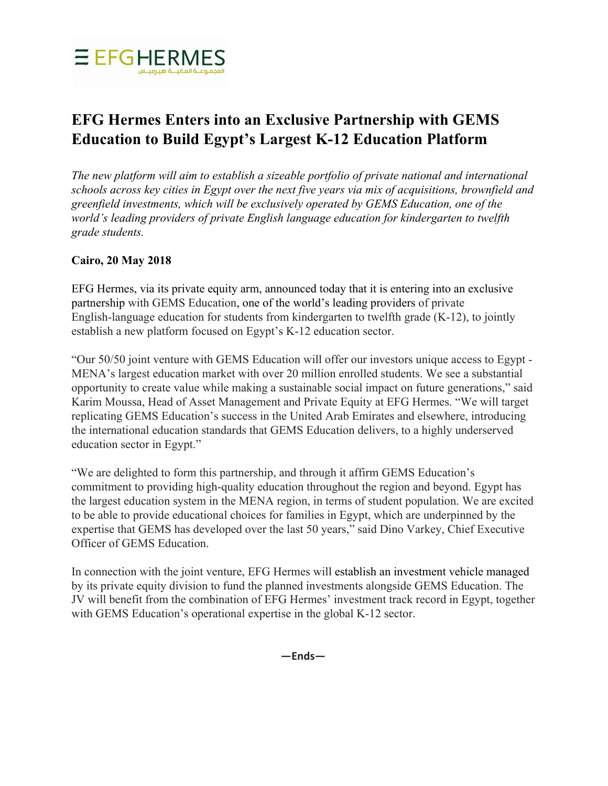

# **EFG Hermes Enters into an Exclusive Partnership with GEMS Education to Build Egypt's Largest K-12 Education Platform**

*The new platform will aim to establish a sizeable portfolio of private national and international schools across key cities in Egypt over the next five years via mix of acquisitions, brownfield and greenfield investments, which will be exclusively operated by GEMS Education, one of the world's leading providers of private English language education for kindergarten to twelfth grade students.*

## **Cairo, 20 May 2018**

EFG Hermes, via its private equity arm, announced today that it is entering into an exclusive partnership with GEMS Education, one of the world's leading providers of private English-language education for students from kindergarten to twelfth grade (K-12), to jointly establish a new platform focused on Egypt's K-12 education sector.

"Our 50/50 joint venture with GEMS Education will offer our investors unique access to Egypt - MENA's largest education market with over 20 million enrolled students. We see a substantial opportunity to create value while making a sustainable social impact on future generations," said Karim Moussa, Head of Asset Management and Private Equity at EFG Hermes. "We will target replicating GEMS Education's success in the United Arab Emirates and elsewhere, introducing the international education standards that GEMS Education delivers, to a highly underserved education sector in Egypt."

"We are delighted to form this partnership, and through it affirm GEMS Education's commitment to providing high-quality education throughout the region and beyond. Egypt has the largest education system in the MENA region, in terms of student population. We are excited to be able to provide educational choices for families in Egypt, which are underpinned by the expertise that GEMS has developed over the last 50 years," said Dino Varkey, Chief Executive Officer of GEMS Education.

In connection with the joint venture, EFG Hermes will establish an investment vehicle managed by its private equity division to fund the planned investments alongside GEMS Education. The JV will benefit from the combination of EFG Hermes' investment track record in Egypt, together with GEMS Education's operational expertise in the global K-12 sector.

**—Ends—**